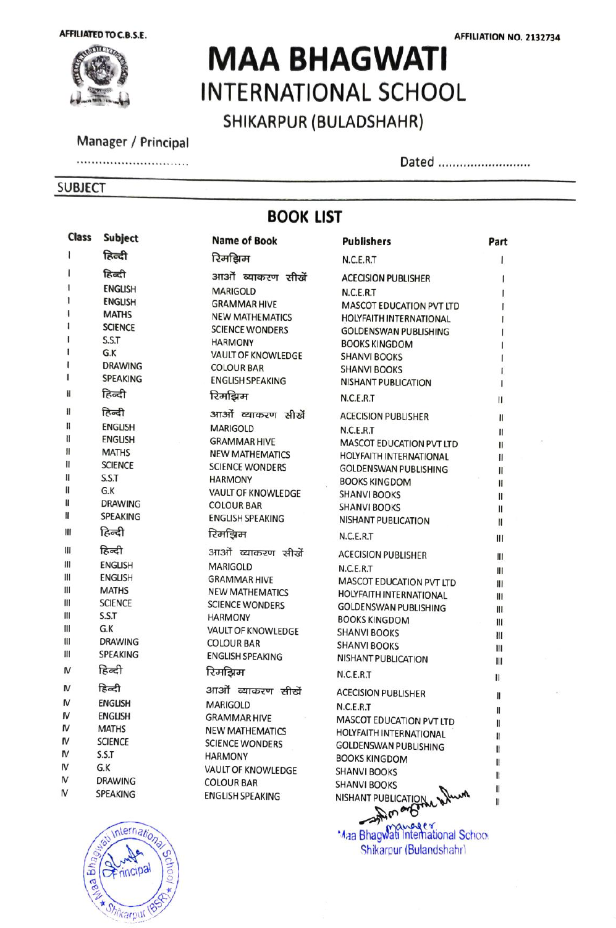

# MAA BHAGWATI INTERNATIONAL SCHOOL SHIKARPUR (BULADSHAHR)

Manager / Principal

#### ............................

#### SUBJECT

Dated ...........................

### BOOK LIST

| Class          | <b>Subject</b>          | <b>Name of Book</b>                          | <b>Publishers</b>               | Part |
|----------------|-------------------------|----------------------------------------------|---------------------------------|------|
| 1              | हिन्दी                  | रिमझिम                                       | N.C.E.R.T                       |      |
| ı              | हिन्दी                  | आओं व्याकरण सीखें                            | <b>ACECISION PUBLISHER</b>      |      |
|                | <b>ENGLISH</b>          | <b>MARIGOLD</b>                              | N.C.E.R.T                       |      |
|                | <b>ENGLISH</b>          | <b>GRAMMAR HIVE</b>                          | MASCOT EDUCATION PVT LTD        |      |
|                | <b>MATHS</b>            | <b>NEW MATHEMATICS</b>                       | HOLYFAITH INTERNATIONAL         |      |
|                | <b>SCIENCE</b>          | <b>SCIENCE WONDERS</b>                       | <b>GOLDENSWAN PUBLISHING</b>    |      |
|                | S.S.T                   | <b>HARMONY</b>                               | <b>BOOKS KINGDOM</b>            |      |
|                | G.K                     | <b>VAULT OF KNOWLEDGE</b>                    | <b>SHANVI BOOKS</b>             |      |
| ŧ              | <b>DRAWING</b>          | <b>COLOUR BAR</b>                            | <b>SHANVI BOOKS</b>             |      |
| 1              | <b>SPEAKING</b>         | <b>ENGLISH SPEAKING</b>                      | <b>NISHANT PUBLICATION</b>      |      |
| H              | हिन्दी                  | रिमझिम                                       | N.C.E.R.T                       | П    |
| Ħ              | हिन्दी                  | आओं व्याकरण सीखें                            | <b>ACECISION PUBLISHER</b>      | Ш    |
| II             | <b>ENGLISH</b>          | <b>MARIGOLD</b>                              | N.C.E.R.T                       | Ш    |
| II             | <b>ENGLISH</b>          | <b>GRAMMAR HIVE</b>                          | <b>MASCOT EDUCATION PVT LTD</b> | Ш    |
| II             | <b>MATHS</b>            | <b>NEW MATHEMATICS</b>                       | <b>HOLYFAITH INTERNATIONAL</b>  | Ш    |
| II             | <b>SCIENCE</b>          | <b>SCIENCE WONDERS</b>                       | <b>GOLDENSWAN PUBLISHING</b>    | Ш    |
| II<br>H        | S.S.T<br>G.K            | <b>HARMONY</b>                               | <b>BOOKS KINGDOM</b>            | II   |
| H              | <b>DRAWING</b>          | <b>VAULT OF KNOWLEDGE</b>                    | <b>SHANVI BOOKS</b>             | II   |
| H              | <b>SPEAKING</b>         | <b>COLOUR BAR</b>                            | <b>SHANVI BOOKS</b>             | II   |
|                |                         | <b>ENGLISH SPEAKING</b>                      | <b>NISHANT PUBLICATION</b>      | II   |
| Ш              | हिन्दी                  | रिमझिम                                       | N.C.E.R.T                       | Ш    |
| Ш              | हिन्दी                  | आओं व्याकरण सीखें                            | <b>ACECISION PUBLISHER</b>      | Ш    |
| $\mathbf{III}$ | <b>ENGLISH</b>          | <b>MARIGOLD</b>                              | N.C.E.R.T                       | Ш    |
| Ш              | <b>ENGLISH</b>          | <b>GRAMMAR HIVE</b>                          | MASCOT EDUCATION PVT LTD        | Ш    |
| Ш<br>Ш         | <b>MATHS</b>            | <b>NEW MATHEMATICS</b>                       | <b>HOLYFAITH INTERNATIONAL</b>  | Ш    |
| Ш              | <b>SCIENCE</b><br>S.S.T | <b>SCIENCE WONDERS</b>                       | <b>GOLDENSWAN PUBLISHING</b>    | Ш    |
| Ш              | G.K                     | <b>HARMONY</b>                               | <b>BOOKS KINGDOM</b>            | Ш    |
| Ш              | <b>DRAWING</b>          | VAULT OF KNOWLEDGE                           | <b>SHANVI BOOKS</b>             | Ш    |
| Ш              | <b>SPEAKING</b>         | <b>COLOUR BAR</b><br><b>ENGLISH SPEAKING</b> | <b>SHANVI BOOKS</b>             | Ш    |
|                |                         |                                              | <b>NISHANT PUBLICATION</b>      | Ш    |
| $\mathsf N$    | हिन्दी                  | रिमझिम                                       | N.C.E.R.T                       | Ш    |
| M              | हिन्दी                  | आओं व्याकरण सीखें                            | <b>ACECISION PUBLISHER</b>      | Ш    |
| M              | <b>ENGLISH</b>          | <b>MARIGOLD</b>                              | N.C.E.R.T                       | II   |
| M              | <b>ENGLISH</b>          | <b>GRAMMAR HIVE</b>                          | MASCOT EDUCATION PVT LTD        | H    |
| N              | <b>MATHS</b>            | <b>NEW MATHEMATICS</b>                       | <b>HOLYFAITH INTERNATIONAL</b>  | H    |
| M              | <b>SCIENCE</b>          | <b>SCIENCE WONDERS</b>                       | <b>GOLDENSWAN PUBLISHING</b>    | H    |
| M<br>M         | S.S.T                   | <b>HARMONY</b>                               | <b>BOOKS KINGDOM</b>            | 11   |
| M              | G.K<br><b>DRAWING</b>   | VAULT OF KNOWLEDGE                           | <b>SHANVI BOOKS</b>             | H    |
| N              |                         | <b>COLOUR BAR</b>                            | <b>SHANVI BOOKS</b>             | Ш    |
|                | <b>SPEAKING</b>         | <b>ENGLISH SPEAKING</b>                      | NISHANT PUBLICATION when        | H    |
|                |                         |                                              |                                 |      |



Maa Bhagwati International School Shikarpur (Bulandshahr)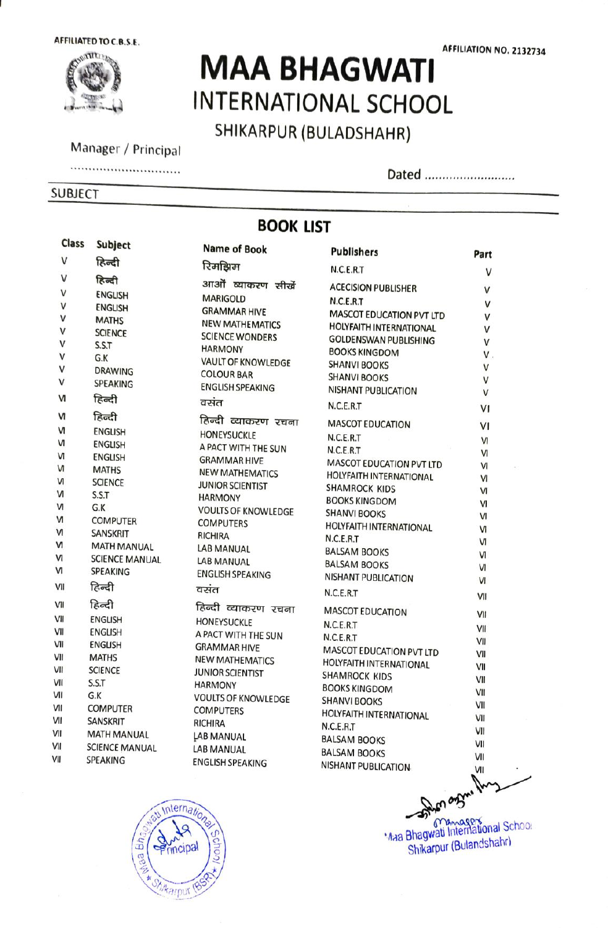AFFILIATED TO C.B.S.E.



# MAA BHAGWATI INTERNATIONAL SCHOOL SHIKARPUR (BULADSHAHR)

Manager/Principal Dated \*\*\*\*

#### SUBJECT

Dated ...........................

## BOOK LIST

| Class        | Subject                 | <b>Name of Book</b>        | <b>Publishers</b>                                          | Part   |
|--------------|-------------------------|----------------------------|------------------------------------------------------------|--------|
| V            | हिन्दी                  | रिमझिम                     | N.C.E.R.T                                                  | V      |
| V            | हिन्दी                  | आओं व्याकरण सीखें          | <b>ACECISION PUBLISHER</b>                                 |        |
| $\mathsf{v}$ | <b>ENGLISH</b>          | <b>MARIGOLD</b>            | N.C.E.R.T                                                  | V      |
| V            | <b>ENGLISH</b>          | <b>GRAMMAR HIVE</b>        |                                                            | V      |
| V            | <b>MATHS</b>            | <b>NEW MATHEMATICS</b>     | MASCOT EDUCATION PVT LTD<br><b>HOLYFAITH INTERNATIONAL</b> | V      |
| V            | <b>SCIENCE</b>          | <b>SCIENCE WONDERS</b>     | <b>GOLDENSWAN PUBLISHING</b>                               | V      |
| $\mathsf{V}$ | S.S.T                   | <b>HARMONY</b>             | <b>BOOKS KINGDOM</b>                                       | V      |
| V            | G.K                     | <b>VAULT OF KNOWLEDGE</b>  | <b>SHANVI BOOKS</b>                                        | V.     |
| $\mathsf{V}$ | <b>DRAWING</b>          | <b>COLOUR BAR</b>          | <b>SHANVI BOOKS</b>                                        | V<br>V |
| V            | <b>SPEAKING</b>         | <b>ENGLISH SPEAKING</b>    | <b>NISHANT PUBLICATION</b>                                 | V      |
| M            | हिन्दी                  | वसंत                       | N.C.E.R.T                                                  | VI     |
| N            | हिन्दी                  | हिन्दी व्याकरण रचना        | <b>MASCOT EDUCATION</b>                                    | VI     |
| N            | <b>ENGLISH</b>          | <b>HONEYSUCKLE</b>         | N.C.E.R.T                                                  | VI     |
| м            | <b>ENGLISH</b>          | A PACT WITH THE SUN        | N.C.E.R.T                                                  | VI     |
| N            | <b>ENGLISH</b>          | <b>GRAMMAR HIVE</b>        | MASCOT EDUCATION PVT LTD                                   | VI     |
| N            | <b>MATHS</b>            | <b>NEW MATHEMATICS</b>     | <b>HOLYFAITH INTERNATIONAL</b>                             | VI     |
| <b>VI</b>    | <b>SCIENCE</b>          | <b>JUNIOR SCIENTIST</b>    | <b>SHAMROCK KIDS</b>                                       | VI     |
| M            | S.S.T                   | <b>HARMONY</b>             | <b>BOOKS KINGDOM</b>                                       | VI     |
| N            | G.K                     | <b>VOULTS OF KNOWLEDGE</b> | <b>SHANVI BOOKS</b>                                        | VI     |
| N<br>N       | <b>COMPUTER</b>         | <b>COMPUTERS</b>           | HOLYFAITH INTERNATIONAL                                    | Ν      |
| N            | <b>SANSKRIT</b>         | <b>RICHIRA</b>             | N.C.E.R.T                                                  | N      |
| N            | <b>MATH MANUAL</b>      | LAB MANUAL                 | <b>BALSAM BOOKS</b>                                        | M      |
| M            | <b>SCIENCE MANUAL</b>   | LAB MANUAL                 | <b>BALSAM BOOKS</b>                                        | VI     |
|              | <b>SPEAKING</b>         | <b>ENGLISH SPEAKING</b>    | <b>NISHANT PUBLICATION</b>                                 | VI     |
| VII          | हिन्दी                  | वसंत                       | N.C.E.R.T                                                  | VII    |
| VII          | हिन्दी                  | हिन्दी व्याकरण रचना        | <b>MASCOT EDUCATION</b>                                    | VII    |
| VII          | <b>ENGLISH</b>          | <b>HONEYSUCKLE</b>         | N.C.E.R.T                                                  | VII    |
| VII          | <b>ENGLISH</b>          | A PACT WITH THE SUN        | N.C.E.R.T                                                  | VII    |
| VII<br>VII   | <b>ENGLISH</b>          | <b>GRAMMAR HIVE</b>        | MASCOT EDUCATION PVT LTD                                   | VII    |
| VII          | <b>MATHS</b>            | <b>NEW MATHEMATICS</b>     | <b>HOLYFAITH INTERNATIONAL</b>                             | VII    |
| VII          | <b>SCIENCE</b><br>S.S.T | <b>JUNIOR SCIENTIST</b>    | SHAMROCK KIDS                                              | VII    |
| VII          | G.K                     | <b>HARMONY</b>             | <b>BOOKS KINGDOM</b>                                       | VII    |
| VII          | <b>COMPUTER</b>         | <b>VOULTS OF KNOWLEDGE</b> | <b>SHANVI BOOKS</b>                                        | VII    |
| VII          | <b>SANSKRIT</b>         | <b>COMPUTERS</b>           | HOLYFAITH INTERNATIONAL                                    | VII    |
| VII          | <b>MATH MANUAL</b>      | <b>RICHIRA</b>             | N.C.E.R.T                                                  | VII    |
| VII          | <b>SCIENCE MANUAL</b>   | LAB MANUAL                 | <b>BALSAM BOOKS</b>                                        | VII    |
| VII          | <b>SPEAKING</b>         | LAB MANUAL                 | <b>BALSAM BOOKS</b>                                        | VII    |
|              |                         | <b>ENGLISH SPEAKING</b>    | NISHANT PUBLICATION                                        | VII    |



**Aaa Bhagwati International School** Shikarpur (Bulandshahr)

### AFFILIATION NO. 2132734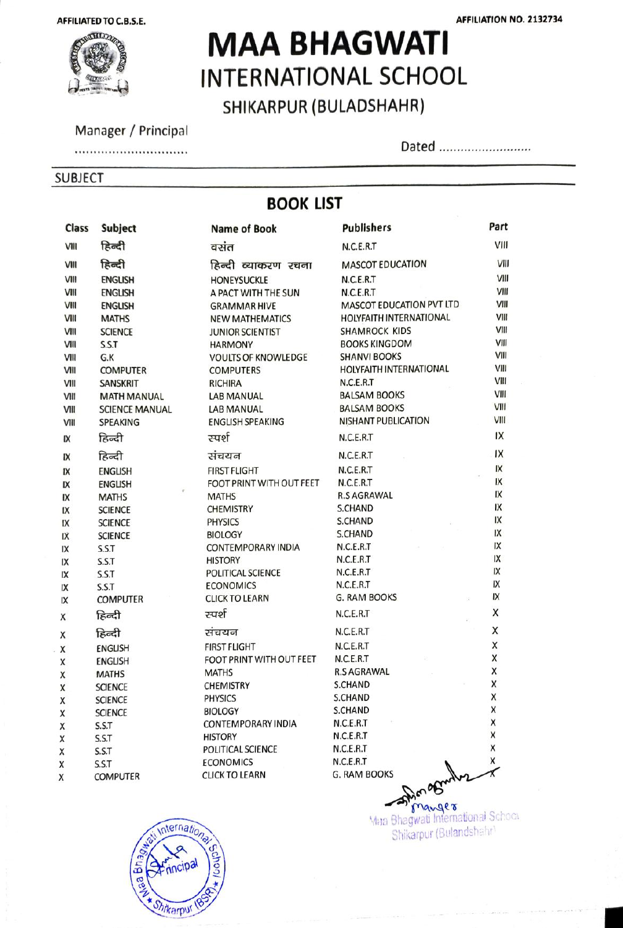

# **TERNAL MAA BHAGWATI** INTERNATIONAL SCHOOL

SHIKARPUR (BULADSHAHR)

#### Manager / Principal

#### .............................

#### SUBJECT

Dated ...........................

## BOOK LIST

| Class | Subject               | <b>Name of Book</b>        | <b>Publishers</b>               | Part               |
|-------|-----------------------|----------------------------|---------------------------------|--------------------|
| VIII  | हिन्दी                | वसंत                       | N.C.E.R.T                       | VIII               |
| VIII  | हिन्दी                | हिन्दी व्याकरण रचना        | <b>MASCOT EDUCATION</b>         | VIII               |
| VIII  | <b>ENGLISH</b>        | <b>HONEYSUCKLE</b>         | N.C.E.R.T                       | VIII               |
| VIII  | <b>ENGLISH</b>        | A PACT WITH THE SUN        | N.C.E.R.T                       | VIII               |
| VIII  | <b>ENGLISH</b>        | <b>GRAMMAR HIVE</b>        | MASCOT EDUCATION PVT LTD        | VIII               |
| VIII  | <b>MATHS</b>          | <b>NEW MATHEMATICS</b>     | HOLYFAITH INTERNATIONAL         | VIII               |
| VIII  | <b>SCIENCE</b>        | <b>JUNIOR SCIENTIST</b>    | <b>SHAMROCK KIDS</b>            | VIII               |
| VIII  | S.S.T                 | <b>HARMONY</b>             | <b>BOOKS KINGDOM</b>            | VIII               |
| VIII  | G.K                   | <b>VOULTS OF KNOWLEDGE</b> | <b>SHANVI BOOKS</b>             | VIII               |
| VIII  | <b>COMPUTER</b>       | <b>COMPUTERS</b>           | HOLYFAITH INTERNATIONAL         | VIII               |
| VIII  | <b>SANSKRIT</b>       | <b>RICHIRA</b>             | N.C.E.R.T                       | VIII               |
| VIII  | <b>MATH MANUAL</b>    | <b>LAB MANUAL</b>          | <b>BALSAM BOOKS</b>             | VIII               |
| VIII  | <b>SCIENCE MANUAL</b> | <b>LAB MANUAL</b>          | <b>BALSAM BOOKS</b>             | VIII               |
| VIII  | <b>SPEAKING</b>       | <b>ENGLISH SPEAKING</b>    | <b>NISHANT PUBLICATION</b>      | VIII               |
| IX    | हिन्दी                | रम्पर्श                    | N.C.E.R.T                       | IX                 |
| IX    | हिन्दी                | संचयन                      | N.C.E.R.T                       | .1X                |
| IX    | <b>ENGLISH</b>        | <b>FIRST FLIGHT</b>        | N.C.E.R.T                       | IX                 |
| IX    | <b>ENGLISH</b>        | FOOT PRINT WITH OUT FEET   | N.C.E.R.T                       | IX                 |
| IX    | <b>MATHS</b>          | <b>MATHS</b>               | <b>R.S AGRAWAL</b>              | IX                 |
| IX    | <b>SCIENCE</b>        | <b>CHEMISTRY</b>           | <b>S.CHAND</b>                  | IX                 |
| IX    | <b>SCIENCE</b>        | <b>PHYSICS</b>             | S.CHAND                         | IX                 |
| IX    | <b>SCIENCE</b>        | <b>BIOLOGY</b>             | S.CHAND                         | IX                 |
| IX    | S.S.T                 | <b>CONTEMPORARY INDIA</b>  | N.C.E.R.T                       | IX                 |
| IX    | S.S.T                 | <b>HISTORY</b>             | N.C.E.R.T                       | IX                 |
| IX    | S.S.T                 | POLITICAL SCIENCE          | N.C.E.R.T                       | IX                 |
| IX    | S.S.T                 | <b>ECONOMICS</b>           | N.C.E.R.T                       | IX                 |
| IX    | <b>COMPUTER</b>       | <b>CLICK TO LEARN</b>      | G. RAM BOOKS                    | IX                 |
| Χ     | हिन्दी                | रम्पर्श                    | N.C.E.R.T                       | X                  |
| Χ     | हिन्दी                | संचयन                      | N.C.E.R.T                       | X                  |
| X     | <b>ENGLISH</b>        | <b>FIRST FLIGHT</b>        | N.C.E.R.T                       | X                  |
| X     | <b>ENGLISH</b>        | FOOT PRINT WITH OUT FEET   | N.C.E.R.T                       | X                  |
| X     | <b>MATHS</b>          | <b>MATHS</b>               | <b>R.S AGRAWAL</b>              | X                  |
| X     | <b>SCIENCE</b>        | <b>CHEMISTRY</b>           | S.CHAND                         | X                  |
| X     | <b>SCIENCE</b>        | <b>PHYSICS</b>             | S.CHAND                         | X                  |
| X     | <b>SCIENCE</b>        | <b>BIOLOGY</b>             | S.CHAND                         | X                  |
| X     | S.S.T                 | CONTEMPORARY INDIA         | N.C.E.R.T                       | Х                  |
| X     | S.S.T                 | <b>HISTORY</b>             | N.C.E.R.T                       | X                  |
| X     | S.S.T                 | POLITICAL SCIENCE          | N.C.E.R.T                       | X                  |
| X     | S.S.T                 | <b>ECONOMICS</b>           | N.C.E.R.T                       | $\pmb{\mathsf{X}}$ |
| x     | <b>COMPUTER</b>       | <b>CLICK TO LEARN</b>      | <b>G. RAM BOOKS</b><br>Donamily |                    |
|       |                       |                            |                                 |                    |



Maa Bhagwati International School Shikarpur (Bulandshahr)